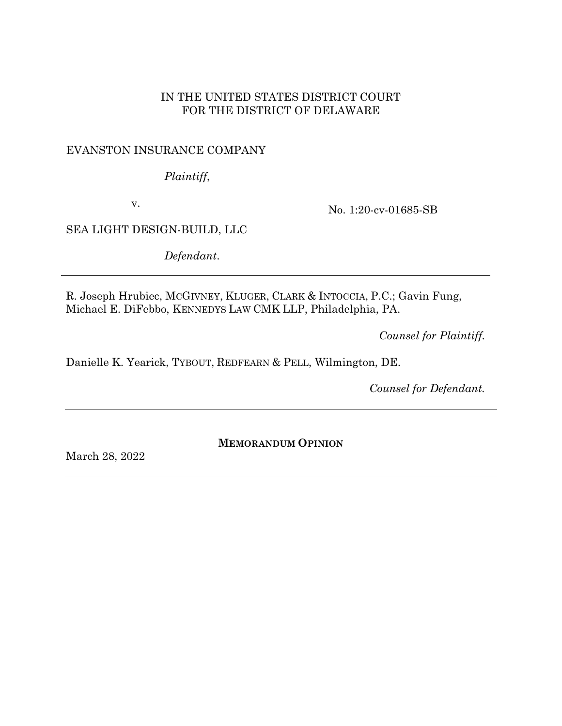## IN THE UNITED STATES DISTRICT COURT FOR THE DISTRICT OF DELAWARE

# EVANSTON INSURANCE COMPANY

*Plaintiff*,

v.

No. 1:20-cv-01685-SB

SEA LIGHT DESIGN-BUILD, LLC

*Defendant*.

R. Joseph Hrubiec, MCGIVNEY, KLUGER, CLARK & INTOCCIA, P.C.; Gavin Fung, Michael E. DiFebbo, KENNEDYS LAW CMK LLP, Philadelphia, PA.

*Counsel for Plaintiff.*

Danielle K. Yearick, TYBOUT, REDFEARN & PELL, Wilmington, DE.

*Counsel for Defendant.*

**MEMORANDUM OPINION**

March 28, 2022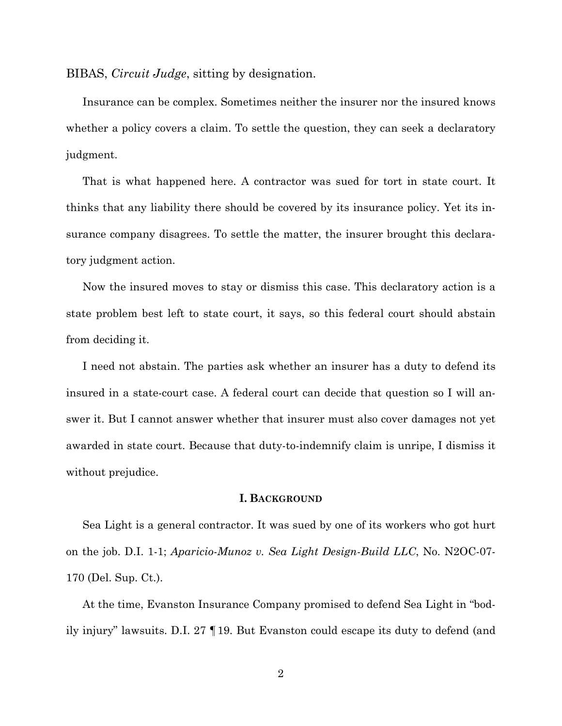BIBAS, *Circuit Judge*, sitting by designation.

Insurance can be complex. Sometimes neither the insurer nor the insured knows whether a policy covers a claim. To settle the question, they can seek a declaratory judgment.

That is what happened here. A contractor was sued for tort in state court. It thinks that any liability there should be covered by its insurance policy. Yet its insurance company disagrees. To settle the matter, the insurer brought this declaratory judgment action.

Now the insured moves to stay or dismiss this case. This declaratory action is a state problem best left to state court, it says, so this federal court should abstain from deciding it.

I need not abstain. The parties ask whether an insurer has a duty to defend its insured in a state-court case. A federal court can decide that question so I will answer it. But I cannot answer whether that insurer must also cover damages not yet awarded in state court. Because that duty-to-indemnify claim is unripe, I dismiss it without prejudice.

### **I. BACKGROUND**

Sea Light is a general contractor. It was sued by one of its workers who got hurt on the job. D.I. 1-1; *Aparicio-Munoz v. Sea Light Design-Build LLC*, No. N2OC-07- 170 (Del. Sup. Ct.).

At the time, Evanston Insurance Company promised to defend Sea Light in "bodily injury" lawsuits. D.I. 27 ¶19. But Evanston could escape its duty to defend (and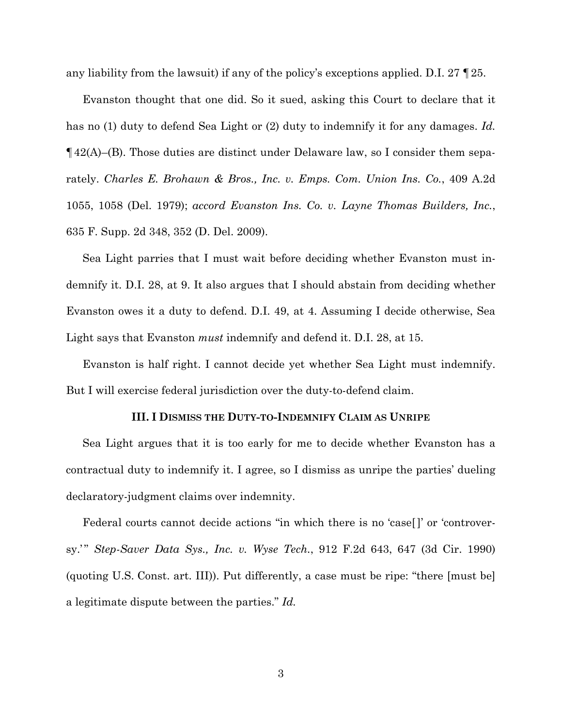any liability from the lawsuit) if any of the policy's exceptions applied. D.I. 27 ¶25.

Evanston thought that one did. So it sued, asking this Court to declare that it has no (1) duty to defend Sea Light or (2) duty to indemnify it for any damages. *Id.*  $\P$ 42(A)–(B). Those duties are distinct under Delaware law, so I consider them separately. *Charles E. Brohawn & Bros., Inc. v. Emps. Com. Union Ins. Co.*, 409 A.2d 1055, 1058 (Del. 1979); *accord Evanston Ins. Co. v. Layne Thomas Builders, Inc.*, 635 F. Supp. 2d 348, 352 (D. Del. 2009).

Sea Light parries that I must wait before deciding whether Evanston must indemnify it. D.I. 28, at 9. It also argues that I should abstain from deciding whether Evanston owes it a duty to defend. D.I. 49, at 4. Assuming I decide otherwise, Sea Light says that Evanston *must* indemnify and defend it. D.I. 28, at 15.

Evanston is half right. I cannot decide yet whether Sea Light must indemnify. But I will exercise federal jurisdiction over the duty-to-defend claim.

#### **III. I DISMISS THE DUTY-TO-INDEMNIFY CLAIM AS UNRIPE**

Sea Light argues that it is too early for me to decide whether Evanston has a contractual duty to indemnify it. I agree, so I dismiss as unripe the parties' dueling declaratory-judgment claims over indemnity.

Federal courts cannot decide actions "in which there is no 'case. The 'controversy.'" *Step-Saver Data Sys., Inc. v. Wyse Tech.*, 912 F.2d 643, 647 (3d Cir. 1990) (quoting U.S. Const. art. III)). Put differently, a case must be ripe: "there [must be] a legitimate dispute between the parties." *Id.*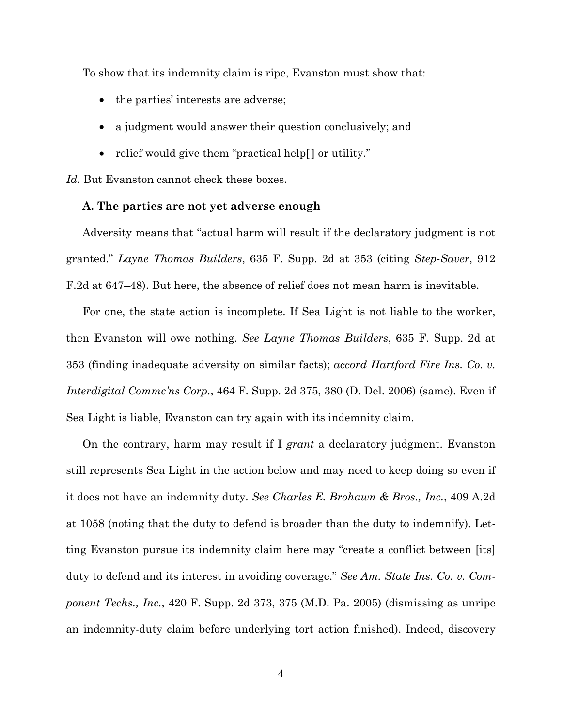To show that its indemnity claim is ripe, Evanston must show that:

- the parties' interests are adverse;
- a judgment would answer their question conclusively; and
- relief would give them "practical help[] or utility."

*Id.* But Evanston cannot check these boxes.

### **A. The parties are not yet adverse enough**

Adversity means that "actual harm will result if the declaratory judgment is not granted." *Layne Thomas Builders*, 635 F. Supp. 2d at 353 (citing *Step-Saver*, 912 F.2d at 647–48). But here, the absence of relief does not mean harm is inevitable.

For one, the state action is incomplete. If Sea Light is not liable to the worker, then Evanston will owe nothing. *See Layne Thomas Builders*, 635 F. Supp. 2d at 353 (finding inadequate adversity on similar facts); *accord Hartford Fire Ins. Co. v. Interdigital Commc'ns Corp.*, 464 F. Supp. 2d 375, 380 (D. Del. 2006) (same). Even if Sea Light is liable, Evanston can try again with its indemnity claim.

On the contrary, harm may result if I *grant* a declaratory judgment. Evanston still represents Sea Light in the action below and may need to keep doing so even if it does not have an indemnity duty. *See Charles E. Brohawn & Bros., Inc.*, 409 A.2d at 1058 (noting that the duty to defend is broader than the duty to indemnify). Letting Evanston pursue its indemnity claim here may "create a conflict between [its] duty to defend and its interest in avoiding coverage." *See Am. State Ins. Co. v. Component Techs., Inc.*, 420 F. Supp. 2d 373, 375 (M.D. Pa. 2005) (dismissing as unripe an indemnity-duty claim before underlying tort action finished). Indeed, discovery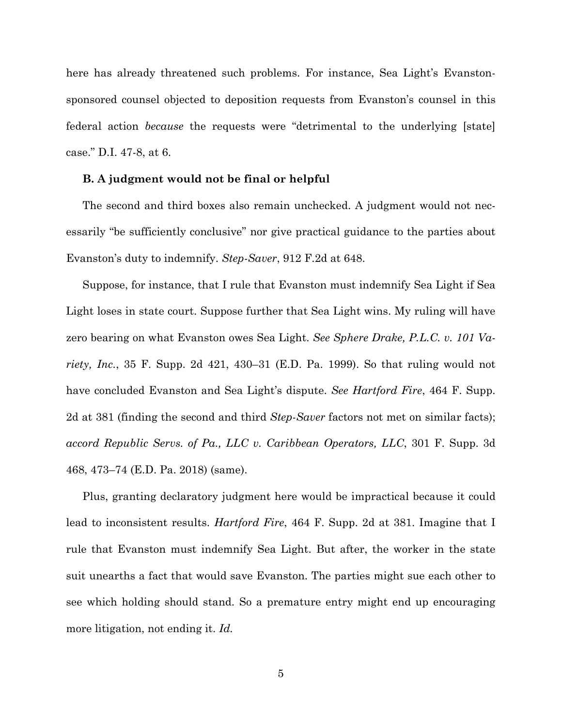here has already threatened such problems. For instance, Sea Light's Evanstonsponsored counsel objected to deposition requests from Evanston's counsel in this federal action *because* the requests were "detrimental to the underlying [state] case." D.I. 47-8, at 6.

#### **B. A judgment would not be final or helpful**

The second and third boxes also remain unchecked. A judgment would not necessarily "be sufficiently conclusive" nor give practical guidance to the parties about Evanston's duty to indemnify. *Step-Saver*, 912 F.2d at 648.

Suppose, for instance, that I rule that Evanston must indemnify Sea Light if Sea Light loses in state court. Suppose further that Sea Light wins. My ruling will have zero bearing on what Evanston owes Sea Light. *See Sphere Drake, P.L.C. v. 101 Variety, Inc.*, 35 F. Supp. 2d 421, 430–31 (E.D. Pa. 1999). So that ruling would not have concluded Evanston and Sea Light's dispute. *See Hartford Fire*, 464 F. Supp. 2d at 381 (finding the second and third *Step-Saver* factors not met on similar facts); *accord Republic Servs. of Pa., LLC v. Caribbean Operators, LLC*, 301 F. Supp. 3d 468, 473–74 (E.D. Pa. 2018) (same).

Plus, granting declaratory judgment here would be impractical because it could lead to inconsistent results. *Hartford Fire*, 464 F. Supp. 2d at 381. Imagine that I rule that Evanston must indemnify Sea Light. But after, the worker in the state suit unearths a fact that would save Evanston. The parties might sue each other to see which holding should stand. So a premature entry might end up encouraging more litigation, not ending it. *Id.*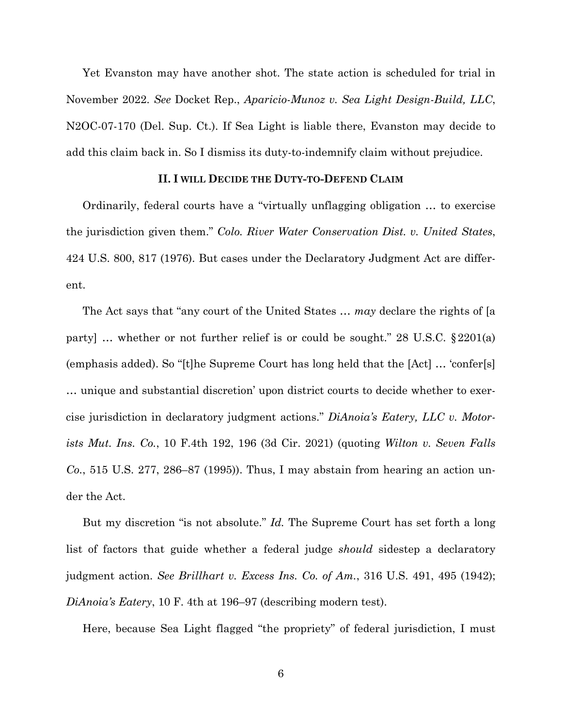Yet Evanston may have another shot. The state action is scheduled for trial in November 2022. *See* Docket Rep., *Aparicio-Munoz v. Sea Light Design-Build, LLC*, N2OC-07-170 (Del. Sup. Ct.). If Sea Light is liable there, Evanston may decide to add this claim back in. So I dismiss its duty-to-indemnify claim without prejudice.

#### **II. I WILL DECIDE THE DUTY-TO-DEFEND CLAIM**

Ordinarily, federal courts have a "virtually unflagging obligation … to exercise the jurisdiction given them." *Colo. River Water Conservation Dist. v. United States*, 424 U.S. 800, 817 (1976). But cases under the Declaratory Judgment Act are different.

The Act says that "any court of the United States … *may* declare the rights of [a party] … whether or not further relief is or could be sought." 28 U.S.C. §2201(a) (emphasis added). So "[t]he Supreme Court has long held that the [Act] … 'confer[s] … unique and substantial discretion' upon district courts to decide whether to exercise jurisdiction in declaratory judgment actions." *DiAnoia's Eatery, LLC v. Motorists Mut. Ins. Co.*, 10 F.4th 192, 196 (3d Cir. 2021) (quoting *Wilton v. Seven Falls Co.*, 515 U.S. 277, 286–87 (1995)). Thus, I may abstain from hearing an action under the Act.

But my discretion "is not absolute." *Id.* The Supreme Court has set forth a long list of factors that guide whether a federal judge *should* sidestep a declaratory judgment action. *See Brillhart v. Excess Ins. Co. of Am.*, 316 U.S. 491, 495 (1942); *DiAnoia's Eatery*, 10 F. 4th at 196–97 (describing modern test).

Here, because Sea Light flagged "the propriety" of federal jurisdiction, I must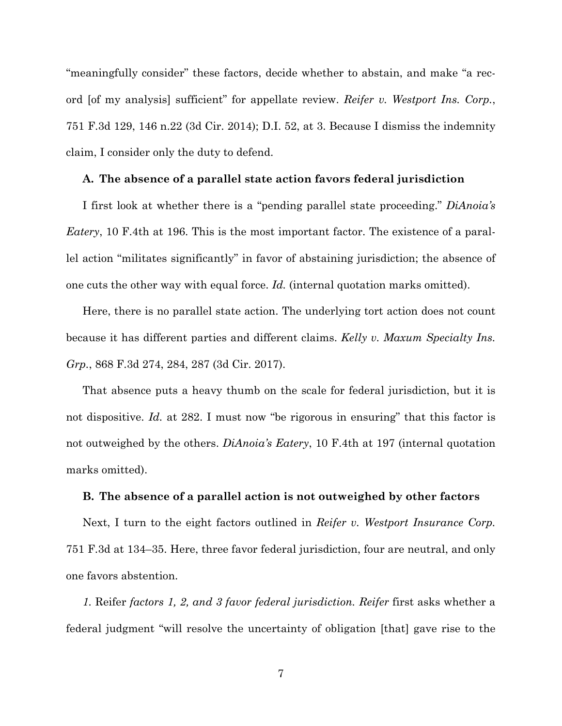"meaningfully consider" these factors, decide whether to abstain, and make "a record [of my analysis] sufficient" for appellate review. *Reifer v. Westport Ins. Corp.*, 751 F.3d 129, 146 n.22 (3d Cir. 2014); D.I. 52, at 3. Because I dismiss the indemnity claim, I consider only the duty to defend.

#### **A. The absence of a parallel state action favors federal jurisdiction**

I first look at whether there is a "pending parallel state proceeding." *DiAnoia's Eatery*, 10 F.4th at 196. This is the most important factor. The existence of a parallel action "militates significantly" in favor of abstaining jurisdiction; the absence of one cuts the other way with equal force. *Id.* (internal quotation marks omitted).

Here, there is no parallel state action. The underlying tort action does not count because it has different parties and different claims. *Kelly v. Maxum Specialty Ins. Grp.*, 868 F.3d 274, 284, 287 (3d Cir. 2017).

That absence puts a heavy thumb on the scale for federal jurisdiction, but it is not dispositive. *Id.* at 282. I must now "be rigorous in ensuring" that this factor is not outweighed by the others. *DiAnoia's Eatery*, 10 F.4th at 197 (internal quotation marks omitted).

#### **B. The absence of a parallel action is not outweighed by other factors**

Next, I turn to the eight factors outlined in *Reifer v. Westport Insurance Corp.* 751 F.3d at 134–35. Here, three favor federal jurisdiction, four are neutral, and only one favors abstention.

*1.* Reifer *factors 1, 2, and 3 favor federal jurisdiction. Reifer* first asks whether a federal judgment "will resolve the uncertainty of obligation [that] gave rise to the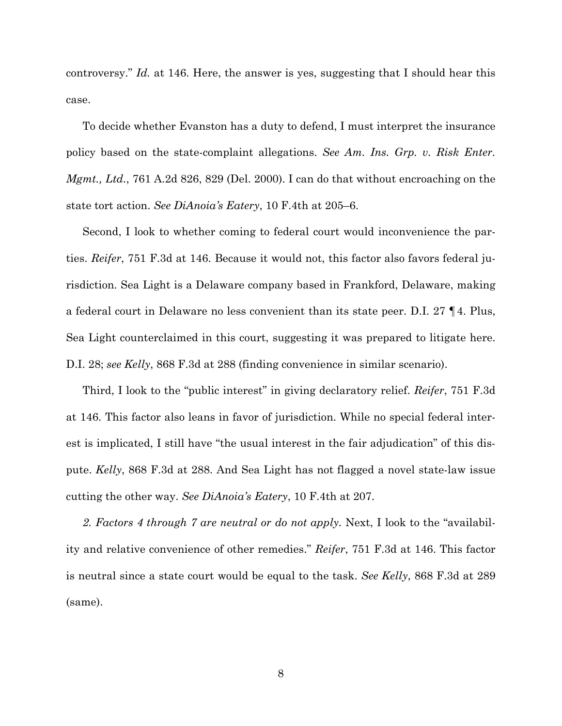controversy." *Id.* at 146. Here, the answer is yes, suggesting that I should hear this case.

To decide whether Evanston has a duty to defend, I must interpret the insurance policy based on the state-complaint allegations. *See Am. Ins. Grp. v. Risk Enter. Mgmt., Ltd.*, 761 A.2d 826, 829 (Del. 2000). I can do that without encroaching on the state tort action. *See DiAnoia's Eatery*, 10 F.4th at 205–6.

Second, I look to whether coming to federal court would inconvenience the parties. *Reifer*, 751 F.3d at 146. Because it would not, this factor also favors federal jurisdiction. Sea Light is a Delaware company based in Frankford, Delaware, making a federal court in Delaware no less convenient than its state peer. D.I. 27 ¶4. Plus, Sea Light counterclaimed in this court, suggesting it was prepared to litigate here. D.I. 28; *see Kelly*, 868 F.3d at 288 (finding convenience in similar scenario).

Third, I look to the "public interest" in giving declaratory relief. *Reifer*, 751 F.3d at 146. This factor also leans in favor of jurisdiction. While no special federal interest is implicated, I still have "the usual interest in the fair adjudication" of this dispute. *Kelly*, 868 F.3d at 288. And Sea Light has not flagged a novel state-law issue cutting the other way. *See DiAnoia's Eatery*, 10 F.4th at 207.

*2. Factors 4 through 7 are neutral or do not apply.* Next, I look to the "availability and relative convenience of other remedies." *Reifer*, 751 F.3d at 146. This factor is neutral since a state court would be equal to the task. *See Kelly*, 868 F.3d at 289 (same).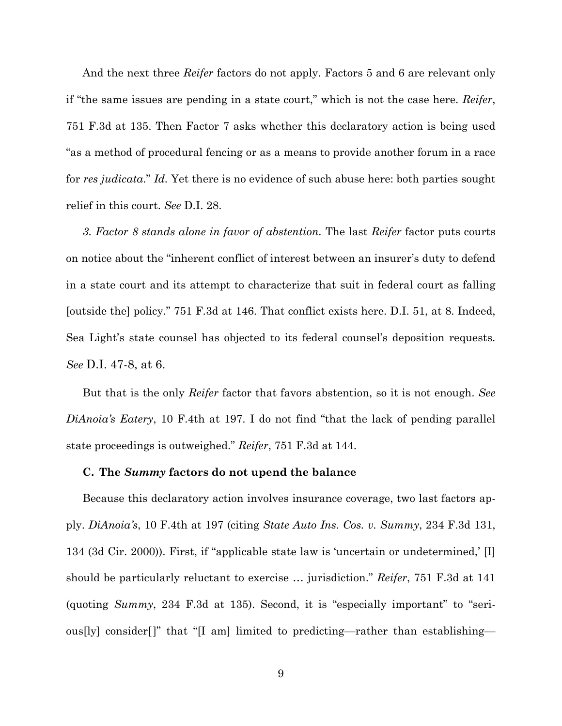And the next three *Reifer* factors do not apply. Factors 5 and 6 are relevant only if "the same issues are pending in a state court," which is not the case here. *Reifer*, 751 F.3d at 135. Then Factor 7 asks whether this declaratory action is being used "as a method of procedural fencing or as a means to provide another forum in a race for *res judicata*." *Id.* Yet there is no evidence of such abuse here: both parties sought relief in this court. *See* D.I. 28.

*3. Factor 8 stands alone in favor of abstention.* The last *Reifer* factor puts courts on notice about the "inherent conflict of interest between an insurer's duty to defend in a state court and its attempt to characterize that suit in federal court as falling [outside the] policy." 751 F.3d at 146. That conflict exists here. D.I. 51, at 8. Indeed, Sea Light's state counsel has objected to its federal counsel's deposition requests. *See* D.I. 47-8, at 6.

But that is the only *Reifer* factor that favors abstention, so it is not enough. *See DiAnoia's Eatery*, 10 F.4th at 197. I do not find "that the lack of pending parallel state proceedings is outweighed." *Reifer*, 751 F.3d at 144.

#### **C. The** *Summy* **factors do not upend the balance**

Because this declaratory action involves insurance coverage, two last factors apply. *DiAnoia's*, 10 F.4th at 197 (citing *State Auto Ins. Cos. v. Summy*, 234 F.3d 131, 134 (3d Cir. 2000)). First, if "applicable state law is 'uncertain or undetermined,' [I] should be particularly reluctant to exercise … jurisdiction." *Reifer*, 751 F.3d at 141 (quoting *Summy*, 234 F.3d at 135). Second, it is "especially important" to "serious[ly] consider[]" that "[I am] limited to predicting—rather than establishing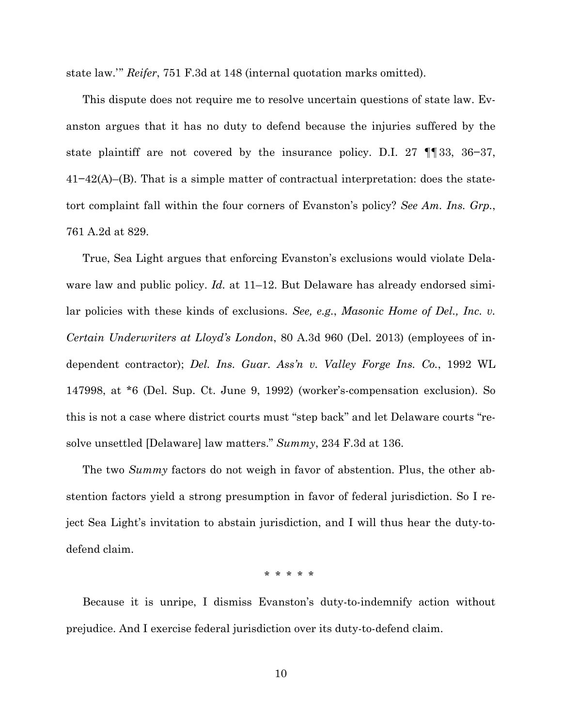state law.'" *Reifer*, 751 F.3d at 148 (internal quotation marks omitted).

This dispute does not require me to resolve uncertain questions of state law. Evanston argues that it has no duty to defend because the injuries suffered by the state plaintiff are not covered by the insurance policy. D.I. 27 ¶¶33, 36−37, 41−42(A)–(B). That is a simple matter of contractual interpretation: does the statetort complaint fall within the four corners of Evanston's policy? *See Am. Ins. Grp.*, 761 A.2d at 829.

True, Sea Light argues that enforcing Evanston's exclusions would violate Delaware law and public policy. *Id.* at 11–12. But Delaware has already endorsed similar policies with these kinds of exclusions. *See, e.g.*, *Masonic Home of Del., Inc. v. Certain Underwriters at Lloyd's London*, 80 A.3d 960 (Del. 2013) (employees of independent contractor); *Del. Ins. Guar. Ass'n v. Valley Forge Ins. Co.*, 1992 WL 147998, at \*6 (Del. Sup. Ct. June 9, 1992) (worker's-compensation exclusion). So this is not a case where district courts must "step back" and let Delaware courts "resolve unsettled [Delaware] law matters." *Summy*, 234 F.3d at 136.

The two *Summy* factors do not weigh in favor of abstention. Plus, the other abstention factors yield a strong presumption in favor of federal jurisdiction. So I reject Sea Light's invitation to abstain jurisdiction, and I will thus hear the duty-todefend claim.

\* \* \* \* \*

Because it is unripe, I dismiss Evanston's duty-to-indemnify action without prejudice. And I exercise federal jurisdiction over its duty-to-defend claim.